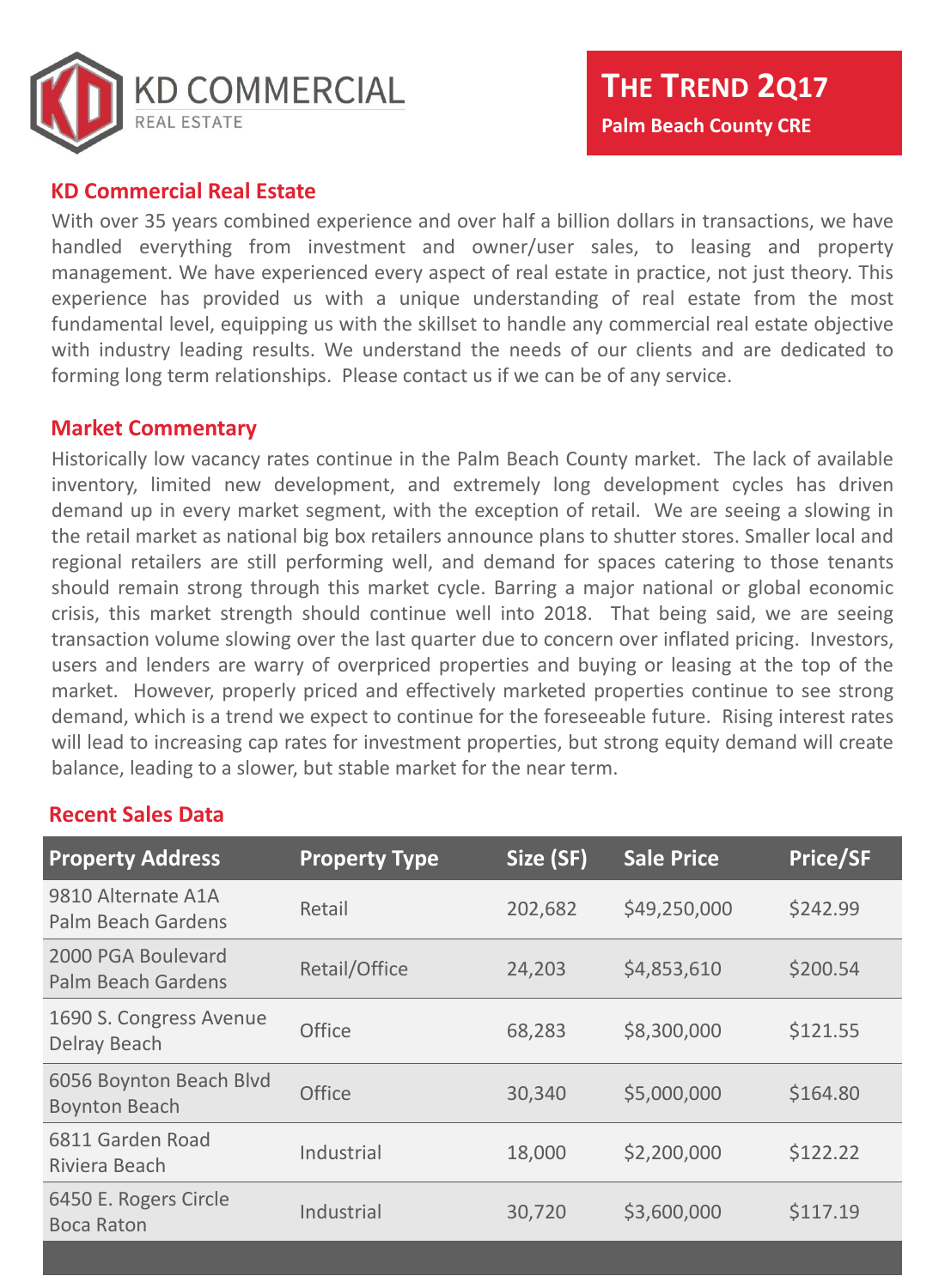

### **KD Commercial Real Estate**

With over 35 years combined experience and over half a billion dollars in transactions, we have handled everything from investment and owner/user sales, to leasing and property management. We have experienced every aspect of real estate in practice, not just theory. This experience has provided us with a unique understanding of real estate from the most fundamental level, equipping us with the skillset to handle any commercial real estate objective with industry leading results. We understand the needs of our clients and are dedicated to forming long term relationships. Please contact us if we can be of any service.

#### **Market Commentary**

Historically low vacancy rates continue in the Palm Beach County market. The lack of available inventory, limited new development, and extremely long development cycles has driven demand up in every market segment, with the exception of retail. We are seeing a slowing in the retail market as national big box retailers announce plans to shutter stores. Smaller local and regional retailers are still performing well, and demand for spaces catering to those tenants should remain strong through this market cycle. Barring a major national or global economic crisis, this market strength should continue well into 2018. That being said, we are seeing transaction volume slowing over the last quarter due to concern over inflated pricing. Investors, users and lenders are warry of overpriced properties and buying or leasing at the top of the market. However, properly priced and effectively marketed properties continue to see strong demand, which is a trend we expect to continue for the foreseeable future. Rising interest rates will lead to increasing cap rates for investment properties, but strong equity demand will create balance, leading to a slower, but stable market for the near term.

### **Recent Sales Data**

| <b>Property Address</b>                         | <b>Property Type</b> | Size (SF) | <b>Sale Price</b> | <b>Price/SF</b> |
|-------------------------------------------------|----------------------|-----------|-------------------|-----------------|
| 9810 Alternate A1A<br><b>Palm Beach Gardens</b> | Retail               | 202,682   | \$49,250,000      | \$242.99        |
| 2000 PGA Boulevard<br><b>Palm Beach Gardens</b> | Retail/Office        | 24,203    | \$4,853,610       | \$200.54        |
| 1690 S. Congress Avenue<br><b>Delray Beach</b>  | <b>Office</b>        | 68,283    | \$8,300,000       | \$121.55        |
| 6056 Boynton Beach Blvd<br><b>Boynton Beach</b> | <b>Office</b>        | 30,340    | \$5,000,000       | \$164.80        |
| 6811 Garden Road<br>Riviera Beach               | Industrial           | 18,000    | \$2,200,000       | \$122.22        |
| 6450 E. Rogers Circle<br><b>Boca Raton</b>      | Industrial           | 30,720    | \$3,600,000       | \$117.19        |